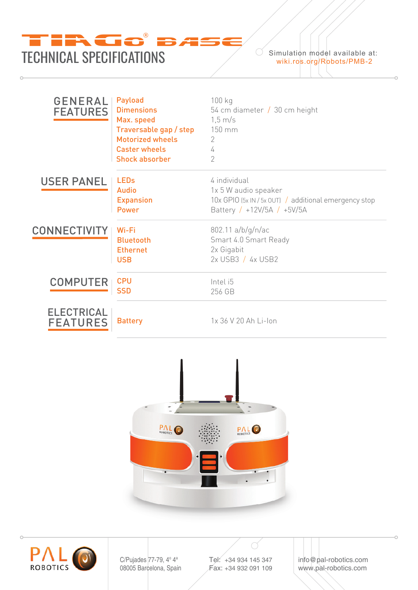

| <b>GENERAL</b><br><b>FEATURES</b>    | Payload<br><b>Dimensions</b><br>Max. speed<br>Traversable gap / step<br><b>Motorized wheels</b><br><b>Caster wheels</b><br><b>Shock absorber</b> | 100 kg<br>54 cm diameter $/$ 30 cm height<br>$1,5 \text{ m/s}$<br>150 mm<br>2<br>4<br>$\overline{2}$                        |
|--------------------------------------|--------------------------------------------------------------------------------------------------------------------------------------------------|-----------------------------------------------------------------------------------------------------------------------------|
| <b>USER PANEL</b>                    | <b>LEDs</b><br><b>Audio</b><br><b>Expansion</b><br><b>Power</b>                                                                                  | 4 individual<br>1x 5 W audio speaker<br>10x GPIO (5x IN / 5x OUT) / additional emergency stop<br>Battery / +12V/5A / +5V/5A |
| <b>CONNECTIVITY</b>                  | Wi-Fi<br><b>Bluetooth</b><br><b>Ethernet</b><br><b>USB</b>                                                                                       | 802.11 a/b/g/n/ac<br>Smart 4.0 Smart Ready<br>2x Gigabit<br>2x USB3 / 4x USB2                                               |
| <b>COMPUTER</b>                      | <b>CPU</b><br><b>SSD</b>                                                                                                                         | Intel i5<br>256 GB                                                                                                          |
| <b>ELECTRICAL</b><br><b>FEATURES</b> | <b>Battery</b>                                                                                                                                   | 1x 36 V 20 Ah Li-Ion                                                                                                        |





C/Pujades 77-79, 4° 4<sup>ª</sup> 08005 Barcelona, Spain Tel: +34 934 145 347 Fax: +34 932 091 109 info@pal-robotics.com www.pal-robotics.com